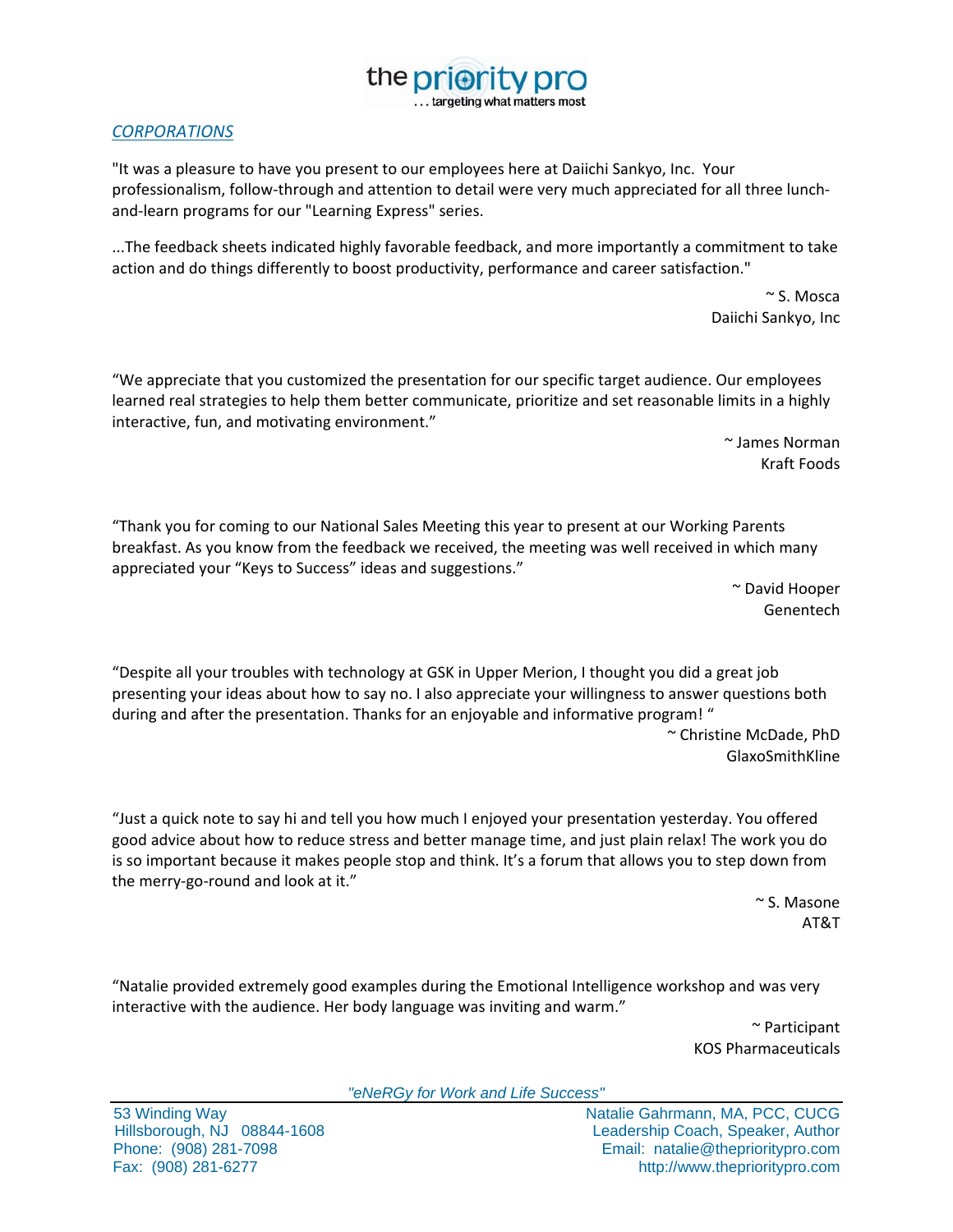

## *CORPORATIONS*

"It was a pleasure to have you present to our employees here at Daiichi Sankyo, Inc. Your professionalism, follow‐through and attention to detail were very much appreciated for all three lunch‐ and‐learn programs for our "Learning Express" series.

...The feedback sheets indicated highly favorable feedback, and more importantly a commitment to take action and do things differently to boost productivity, performance and career satisfaction."

> ~ S. Mosca Daiichi Sankyo, Inc

"We appreciate that you customized the presentation for our specific target audience. Our employees learned real strategies to help them better communicate, prioritize and set reasonable limits in a highly interactive, fun, and motivating environment."

> ~ James Norman Kraft Foods

"Thank you for coming to our National Sales Meeting this year to present at our Working Parents breakfast. As you know from the feedback we received, the meeting was well received in which many appreciated your "Keys to Success" ideas and suggestions."

> ~ David Hooper Genentech

"Despite all your troubles with technology at GSK in Upper Merion, I thought you did a great job presenting your ideas about how to say no. I also appreciate your willingness to answer questions both during and after the presentation. Thanks for an enjoyable and informative program! " ~ Christine McDade, PhD

GlaxoSmithKline

"Just a quick note to say hi and tell you how much I enjoyed your presentation yesterday. You offered good advice about how to reduce stress and better manage time, and just plain relax! The work you do is so important because it makes people stop and think. It's a forum that allows you to step down from the merry-go-round and look at it."

> ~ S. Masone AT&T

"Natalie provided extremely good examples during the Emotional Intelligence workshop and was very interactive with the audience. Her body language was inviting and warm."

> ~ Participant KOS Pharmaceuticals

*"eNeRGy for Work and Life Success"*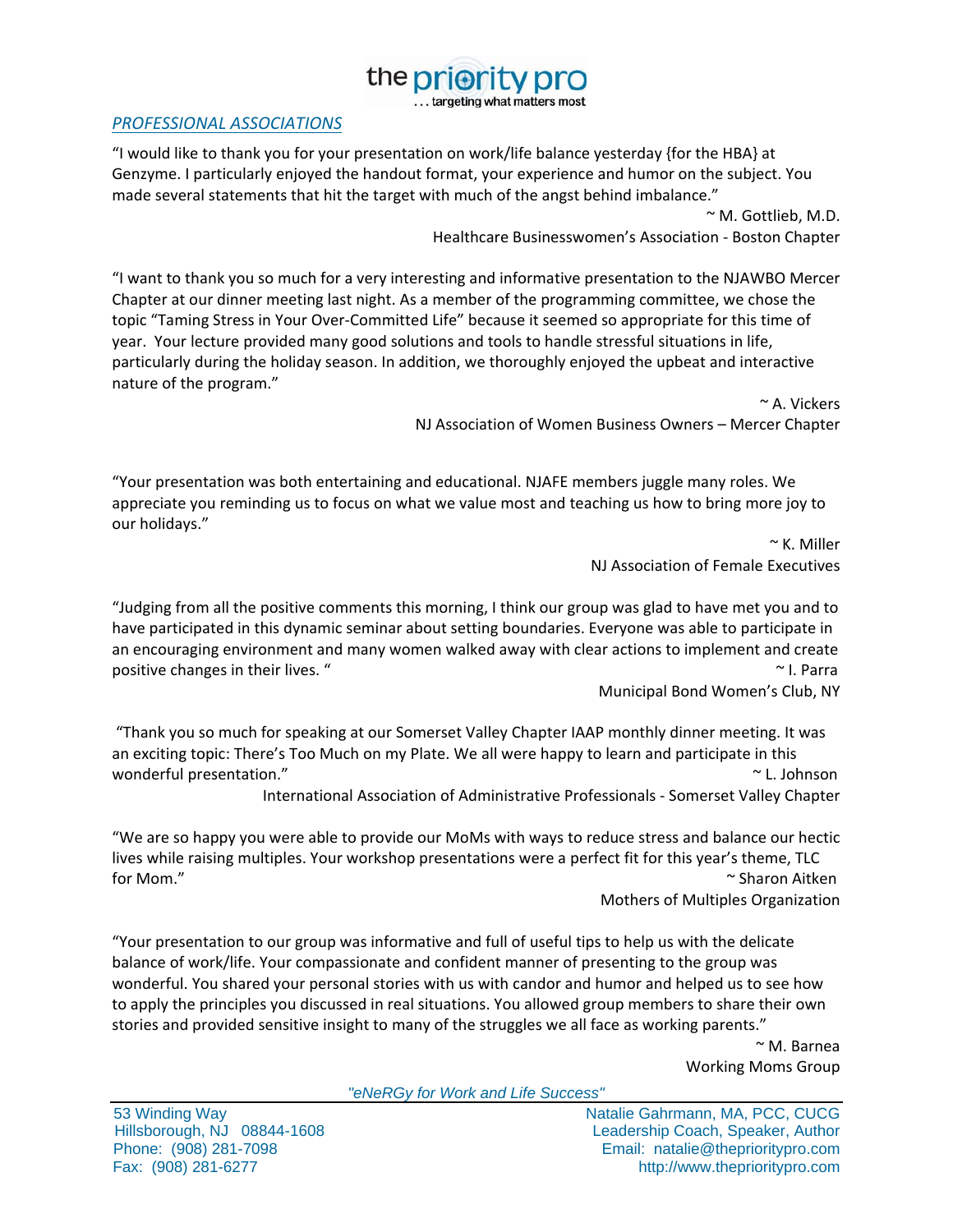the priority . targeting what matters most

## *PROFESSIONAL ASSOCIATIONS*

"I would like to thank you for your presentation on work/life balance yesterday {for the HBA} at Genzyme. I particularly enjoyed the handout format, your experience and humor on the subject. You made several statements that hit the target with much of the angst behind imbalance."

> ~ M. Gottlieb, M.D. Healthcare Businesswomen's Association ‐ Boston Chapter

"I want to thank you so much for a very interesting and informative presentation to the NJAWBO Mercer Chapter at our dinner meeting last night. As a member of the programming committee, we chose the topic "Taming Stress in Your Over‐Committed Life" because it seemed so appropriate for this time of year. Your lecture provided many good solutions and tools to handle stressful situations in life, particularly during the holiday season. In addition, we thoroughly enjoyed the upbeat and interactive nature of the program."

> ~ A. Vickers NJ Association of Women Business Owners – Mercer Chapter

"Your presentation was both entertaining and educational. NJAFE members juggle many roles. We appreciate you reminding us to focus on what we value most and teaching us how to bring more joy to our holidays."

> ~ K. Miller NJ Association of Female Executives

"Judging from all the positive comments this morning, I think our group was glad to have met you and to have participated in this dynamic seminar about setting boundaries. Everyone was able to participate in an encouraging environment and many women walked away with clear actions to implement and create positive changes in their lives. "

Municipal Bond Women's Club, NY

"Thank you so much for speaking at our Somerset Valley Chapter IAAP monthly dinner meeting. It was an exciting topic: There's Too Much on my Plate. We all were happy to learn and participate in this wonderful presentation." The state of the state of the state of the state of the state of the state of the state of the state of the state of the state of the state of the state of the state of the state of the state of th

International Association of Administrative Professionals ‐ Somerset Valley Chapter

"We are so happy you were able to provide our MoMs with ways to reduce stress and balance our hectic lives while raising multiples. Your workshop presentations were a perfect fit for this year's theme, TLC for Mom." ~ Sharon Aitken

Mothers of Multiples Organization

"Your presentation to our group was informative and full of useful tips to help us with the delicate balance of work/life. Your compassionate and confident manner of presenting to the group was wonderful. You shared your personal stories with us with candor and humor and helped us to see how to apply the principles you discussed in real situations. You allowed group members to share their own stories and provided sensitive insight to many of the struggles we all face as working parents."

~ M. Barnea Working Moms Group

*"eNeRGy for Work and Life Success"*